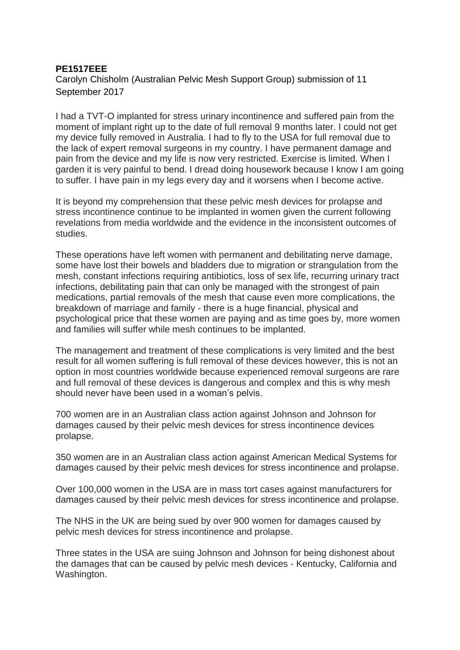## **PE1517EEE**

Carolyn Chisholm (Australian Pelvic Mesh Support Group) submission of 11 September 2017

I had a TVT-O implanted for stress urinary incontinence and suffered pain from the moment of implant right up to the date of full removal 9 months later. I could not get my device fully removed in Australia. I had to fly to the USA for full removal due to the lack of expert removal surgeons in my country. I have permanent damage and pain from the device and my life is now very restricted. Exercise is limited. When I garden it is very painful to bend. I dread doing housework because I know I am going to suffer. I have pain in my legs every day and it worsens when I become active.

It is beyond my comprehension that these pelvic mesh devices for prolapse and stress incontinence continue to be implanted in women given the current following revelations from media worldwide and the evidence in the inconsistent outcomes of studies.

These operations have left women with permanent and debilitating nerve damage, some have lost their bowels and bladders due to migration or strangulation from the mesh, constant infections requiring antibiotics, loss of sex life, recurring urinary tract infections, debilitating pain that can only be managed with the strongest of pain medications, partial removals of the mesh that cause even more complications, the breakdown of marriage and family - there is a huge financial, physical and psychological price that these women are paying and as time goes by, more women and families will suffer while mesh continues to be implanted.

The management and treatment of these complications is very limited and the best result for all women suffering is full removal of these devices however, this is not an option in most countries worldwide because experienced removal surgeons are rare and full removal of these devices is dangerous and complex and this is why mesh should never have been used in a woman's pelvis.

700 women are in an Australian class action against Johnson and Johnson for damages caused by their pelvic mesh devices for stress incontinence devices prolapse.

350 women are in an Australian class action against American Medical Systems for damages caused by their pelvic mesh devices for stress incontinence and prolapse.

Over 100,000 women in the USA are in mass tort cases against manufacturers for damages caused by their pelvic mesh devices for stress incontinence and prolapse.

The NHS in the UK are being sued by over 900 women for damages caused by pelvic mesh devices for stress incontinence and prolapse.

Three states in the USA are suing Johnson and Johnson for being dishonest about the damages that can be caused by pelvic mesh devices - Kentucky, California and Washington.